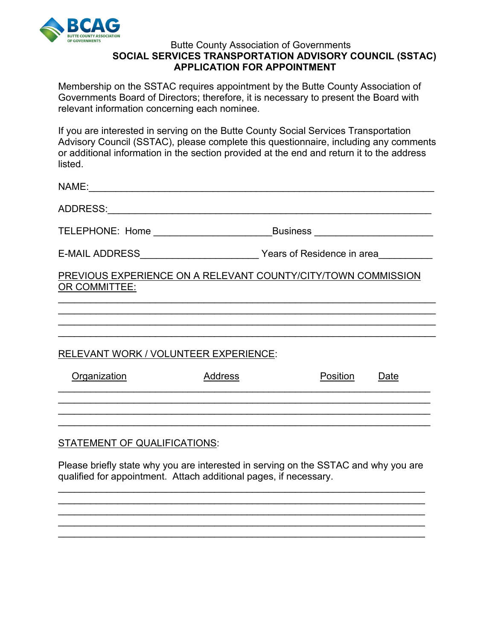

## Butte County Association of Governments **SOCIAL SERVICES TRANSPORTATION ADVISORY COUNCIL (SSTAC) APPLICATION FOR APPOINTMENT**

Membership on the SSTAC requires appointment by the Butte County Association of Governments Board of Directors; therefore, it is necessary to present the Board with relevant information concerning each nominee.

If you are interested in serving on the Butte County Social Services Transportation Advisory Council (SSTAC), please complete this questionnaire, including any comments or additional information in the section provided at the end and return it to the address listed.

| TELEPHONE: Home __________________________                                     | Business _________________________ |          |      |
|--------------------------------------------------------------------------------|------------------------------------|----------|------|
|                                                                                | Years of Residence in area         |          |      |
| PREVIOUS EXPERIENCE ON A RELEVANT COUNTY/CITY/TOWN COMMISSION<br>OR COMMITTEE: |                                    |          |      |
|                                                                                |                                    |          |      |
|                                                                                |                                    |          |      |
| RELEVANT WORK / VOLUNTEER EXPERIENCE:                                          |                                    |          |      |
| Organization                                                                   | Address                            | Position | Date |
|                                                                                |                                    |          |      |
| <b>STATEMENT OF QUALIFICATIONS:</b>                                            |                                    |          |      |

Please briefly state why you are interested in serving on the SSTAC and why you are qualified for appointment. Attach additional pages, if necessary.

\_\_\_\_\_\_\_\_\_\_\_\_\_\_\_\_\_\_\_\_\_\_\_\_\_\_\_\_\_\_\_\_\_\_\_\_\_\_\_\_\_\_\_\_\_\_\_\_\_\_\_\_\_\_\_\_\_\_\_\_\_\_\_\_\_\_\_\_ \_\_\_\_\_\_\_\_\_\_\_\_\_\_\_\_\_\_\_\_\_\_\_\_\_\_\_\_\_\_\_\_\_\_\_\_\_\_\_\_\_\_\_\_\_\_\_\_\_\_\_\_\_\_\_\_\_\_\_\_\_\_\_\_\_\_\_\_ \_\_\_\_\_\_\_\_\_\_\_\_\_\_\_\_\_\_\_\_\_\_\_\_\_\_\_\_\_\_\_\_\_\_\_\_\_\_\_\_\_\_\_\_\_\_\_\_\_\_\_\_\_\_\_\_\_\_\_\_\_\_\_\_\_\_\_\_ \_\_\_\_\_\_\_\_\_\_\_\_\_\_\_\_\_\_\_\_\_\_\_\_\_\_\_\_\_\_\_\_\_\_\_\_\_\_\_\_\_\_\_\_\_\_\_\_\_\_\_\_\_\_\_\_\_\_\_\_\_\_\_\_\_\_\_\_ \_\_\_\_\_\_\_\_\_\_\_\_\_\_\_\_\_\_\_\_\_\_\_\_\_\_\_\_\_\_\_\_\_\_\_\_\_\_\_\_\_\_\_\_\_\_\_\_\_\_\_\_\_\_\_\_\_\_\_\_\_\_\_\_\_\_\_\_